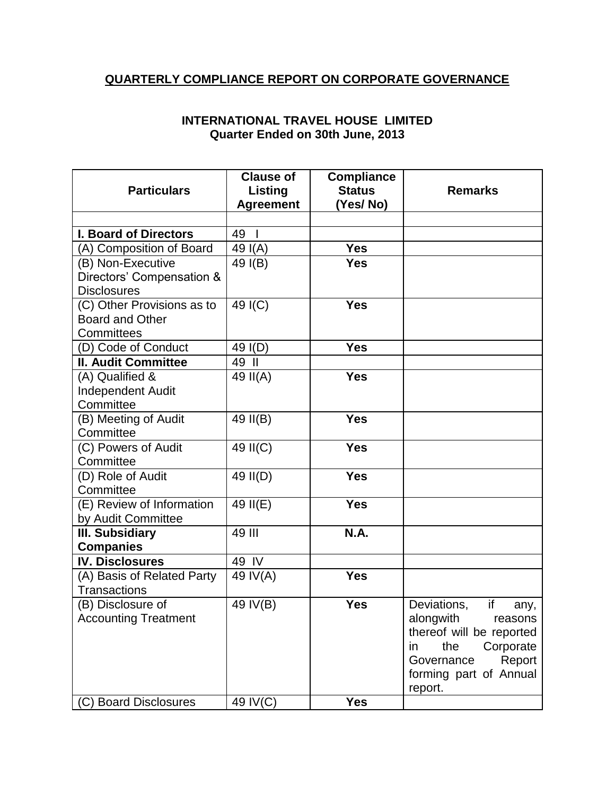## **QUARTERLY COMPLIANCE REPORT ON CORPORATE GOVERNANCE**

| <b>Particulars</b>                                                   | <b>Clause of</b><br>Listing<br><b>Agreement</b> | <b>Compliance</b><br><b>Status</b><br>(Yes/No) | <b>Remarks</b>                                                                                                                                                       |
|----------------------------------------------------------------------|-------------------------------------------------|------------------------------------------------|----------------------------------------------------------------------------------------------------------------------------------------------------------------------|
| <b>I. Board of Directors</b>                                         | 49                                              |                                                |                                                                                                                                                                      |
| (A) Composition of Board                                             | 49 $I(A)$                                       | <b>Yes</b>                                     |                                                                                                                                                                      |
| (B) Non-Executive<br>Directors' Compensation &<br><b>Disclosures</b> | 49 I(B)                                         | <b>Yes</b>                                     |                                                                                                                                                                      |
| (C) Other Provisions as to<br><b>Board and Other</b><br>Committees   | 49 I(C)                                         | <b>Yes</b>                                     |                                                                                                                                                                      |
| (D) Code of Conduct                                                  | 49 I(D)                                         | <b>Yes</b>                                     |                                                                                                                                                                      |
| <b>II. Audit Committee</b>                                           | 49 II                                           |                                                |                                                                                                                                                                      |
| (A) Qualified &<br><b>Independent Audit</b><br>Committee             | 49 II(A)                                        | <b>Yes</b>                                     |                                                                                                                                                                      |
| (B) Meeting of Audit<br>Committee                                    | 49 II(B)                                        | <b>Yes</b>                                     |                                                                                                                                                                      |
| (C) Powers of Audit<br>Committee                                     | 49 II(C)                                        | <b>Yes</b>                                     |                                                                                                                                                                      |
| (D) Role of Audit<br>Committee                                       | 49 II(D)                                        | <b>Yes</b>                                     |                                                                                                                                                                      |
| (E) Review of Information<br>by Audit Committee                      | 49 II(E)                                        | <b>Yes</b>                                     |                                                                                                                                                                      |
| <b>III. Subsidiary</b><br><b>Companies</b>                           | 49 III                                          | <b>N.A.</b>                                    |                                                                                                                                                                      |
| <b>IV. Disclosures</b>                                               | 49 IV                                           |                                                |                                                                                                                                                                      |
| (A) Basis of Related Party<br><b>Transactions</b>                    | 49 IV(A)                                        | <b>Yes</b>                                     |                                                                                                                                                                      |
| (B) Disclosure of<br><b>Accounting Treatment</b>                     | 49 IV(B)                                        | <b>Yes</b>                                     | Deviations,<br>if<br>any,<br>alongwith<br>reasons<br>thereof will be reported<br>Corporate<br>the<br>in<br>Governance<br>Report<br>forming part of Annual<br>report. |
| <b>C) Board Disclosures</b>                                          | 49 IV(C)                                        | <b>Yes</b>                                     |                                                                                                                                                                      |

## **INTERNATIONAL TRAVEL HOUSE LIMITED Quarter Ended on 30th June, 2013**